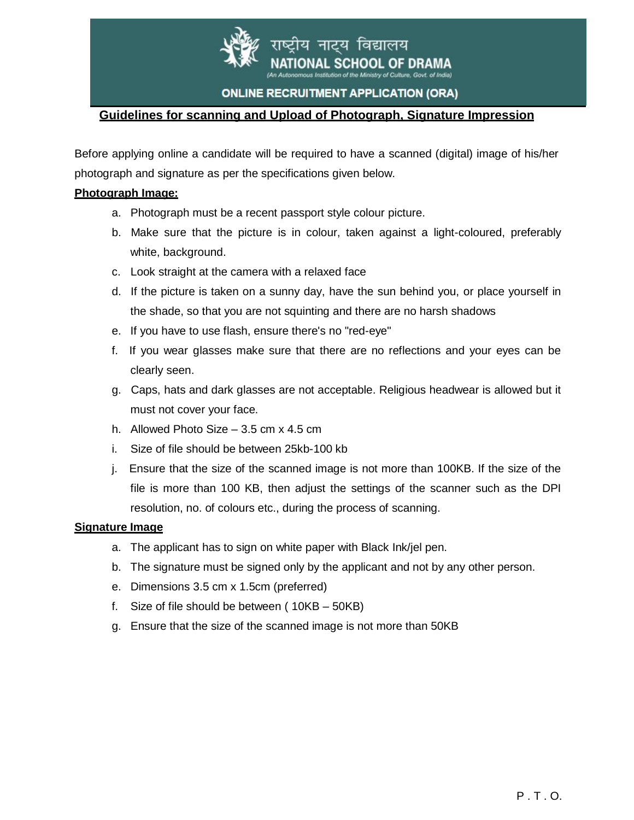

नाटय विद्यालय **CHOOL OF DRAMA** try of Culture, Govt. of India)

## **ONLINE RECRUITMENT APPLICATION (ORA)**

# **Guidelines for scanning and Upload of Photograph, Signature Impression**

Before applying online a candidate will be required to have a scanned (digital) image of his/her photograph and signature as per the specifications given below.

## **Photograph Image:**

- a. Photograph must be a recent passport style colour picture.
- b. Make sure that the picture is in colour, taken against a light-coloured, preferably white, background.
- c. Look straight at the camera with a relaxed face
- d. If the picture is taken on a sunny day, have the sun behind you, or place yourself in the shade, so that you are not squinting and there are no harsh shadows
- e. If you have to use flash, ensure there's no "red-eye"
- f. If you wear glasses make sure that there are no reflections and your eyes can be clearly seen.
- g. Caps, hats and dark glasses are not acceptable. Religious headwear is allowed but it must not cover your face.
- h. Allowed Photo Size 3.5 cm x 4.5 cm
- i. Size of file should be between 25kb-100 kb
- j. Ensure that the size of the scanned image is not more than 100KB. If the size of the file is more than 100 KB, then adjust the settings of the scanner such as the DPI resolution, no. of colours etc., during the process of scanning.

#### **Signature Image**

- a. The applicant has to sign on white paper with Black Ink/jel pen.
- b. The signature must be signed only by the applicant and not by any other person.
- e. Dimensions 3.5 cm x 1.5cm (preferred)
- f. Size of file should be between ( 10KB 50KB)
- g. Ensure that the size of the scanned image is not more than 50KB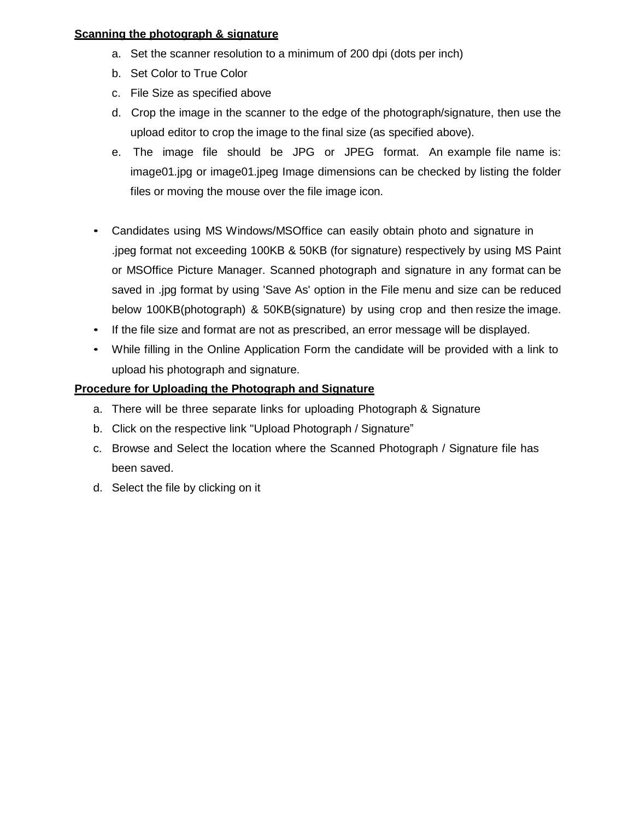## **Scanning the photograph & signature**

- a. Set the scanner resolution to a minimum of 200 dpi (dots per inch)
- b. Set Color to True Color
- c. File Size as specified above
- d. Crop the image in the scanner to the edge of the photograph/signature, then use the upload editor to crop the image to the final size (as specified above).
- e. The image file should be JPG or JPEG format. An example file name is: image01.jpg or image01.jpeg Image dimensions can be checked by listing the folder files or moving the mouse over the file image icon.
- Candidates using MS Windows/MSOffice can easily obtain photo and signature in .jpeg format not exceeding 100KB & 50KB (for signature) respectively by using MS Paint or MSOffice Picture Manager. Scanned photograph and signature in any format can be saved in .jpg format by using 'Save As' option in the File menu and size can be reduced below 100KB(photograph) & 50KB(signature) by using crop and then resize the image.
- If the file size and format are not as prescribed, an error message will be displayed.
- While filling in the Online Application Form the candidate will be provided with a link to upload his photograph and signature.

# **Procedure for Uploading the Photograph and Signature**

- a. There will be three separate links for uploading Photograph & Signature
- b. Click on the respective link "Upload Photograph / Signature"
- c. Browse and Select the location where the Scanned Photograph / Signature file has been saved.
- d. Select the file by clicking on it